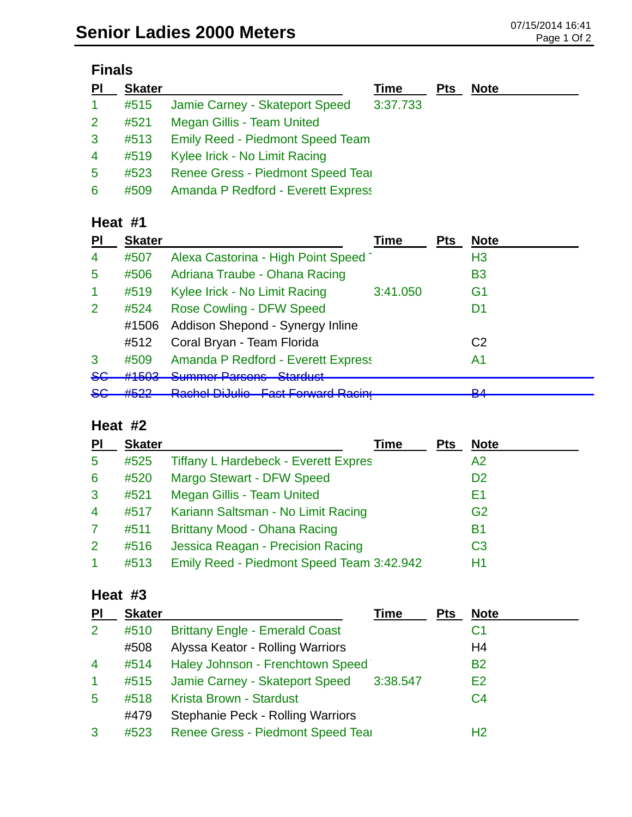| $\overline{P}$ | <b>Skater</b> |                                           | <b>Time</b> | <b>Pts</b> | <b>Note</b> |
|----------------|---------------|-------------------------------------------|-------------|------------|-------------|
| $\mathbf{1}$   | #515          | Jamie Carney - Skateport Speed            | 3:37.733    |            |             |
| 2 <sup>1</sup> | #521          | Megan Gillis - Team United                |             |            |             |
| $\mathbf{3}$   | #513          | <b>Emily Reed - Piedmont Speed Team</b>   |             |            |             |
| $\overline{4}$ | #519          | Kylee Irick - No Limit Racing             |             |            |             |
| 5              | #523          | Renee Gress - Piedmont Speed Tear         |             |            |             |
| 6              | #509          | <b>Amanda P Redford - Everett Express</b> |             |            |             |

#### **Heat #1**

| PI             | <b>Skater</b>               |                                                          | Time     | <b>Pts</b> | <b>Note</b>    |
|----------------|-----------------------------|----------------------------------------------------------|----------|------------|----------------|
| $\overline{4}$ | #507                        | Alexa Castorina - High Point Speed                       |          |            | H <sub>3</sub> |
| 5              | #506                        | Adriana Traube - Ohana Racing                            |          |            | B3             |
| -1             | #519                        | Kylee Irick - No Limit Racing                            | 3:41.050 |            | G <sub>1</sub> |
| 2              | #524                        | <b>Rose Cowling - DFW Speed</b>                          |          |            | D1             |
|                | #1506                       | Addison Shepond - Synergy Inline                         |          |            |                |
|                | #512                        | Coral Bryan - Team Florida                               |          |            | C <sub>2</sub> |
| 3              | #509                        | <b>Amanda P Redford - Everett Express</b>                |          |            | A1             |
| <del>SG</del>  | H1EN2<br><del>11 TUUJ</del> | Cummor Darcone Ctarduct<br>olaraast<br>טוועטווי וסחווודט |          |            |                |
| <del>SG</del>  | $H E$ ר                     | <b>Dochol Di Julio East Forward Docing</b>               |          |            | D 1            |
|                |                             |                                                          |          |            |                |

### **Heat #2**

| PI             | <b>Skater</b> | Time                                        | <b>Pts</b> | <b>Note</b>    |
|----------------|---------------|---------------------------------------------|------------|----------------|
| 5              | #525          | <b>Tiffany L Hardebeck - Everett Expres</b> |            | A <sub>2</sub> |
| 6              | #520          | Margo Stewart - DFW Speed                   |            | D <sub>2</sub> |
| 3              | #521          | <b>Megan Gillis - Team United</b>           |            | E1             |
| $\overline{4}$ | #517          | Kariann Saltsman - No Limit Racing          |            | G <sub>2</sub> |
| $\mathbf{7}$   | #511          | Brittany Mood - Ohana Racing                |            | <b>B1</b>      |
| 2 <sup>1</sup> | #516          | Jessica Reagan - Precision Racing           |            | C <sub>3</sub> |
|                | #513          | Emily Reed - Piedmont Speed Team 3:42.942   |            | H1             |

# **Heat #3**

| PI             | <b>Skater</b> |                                          | Time     | <b>Pts</b> | <b>Note</b>    |
|----------------|---------------|------------------------------------------|----------|------------|----------------|
| $\overline{2}$ | #510          | <b>Brittany Engle - Emerald Coast</b>    |          |            | C1             |
|                | #508          | Alyssa Keator - Rolling Warriors         |          |            | H4             |
| $\overline{4}$ | #514          | Haley Johnson - Frenchtown Speed         |          |            | <b>B2</b>      |
| $\overline{1}$ | #515          | Jamie Carney - Skateport Speed           | 3:38.547 |            | E2             |
| 5              | #518          | Krista Brown - Stardust                  |          |            | C <sub>4</sub> |
|                | #479          | <b>Stephanie Peck - Rolling Warriors</b> |          |            |                |
| 3              | #523          | Renee Gress - Piedmont Speed Tear        |          |            | H <sub>2</sub> |